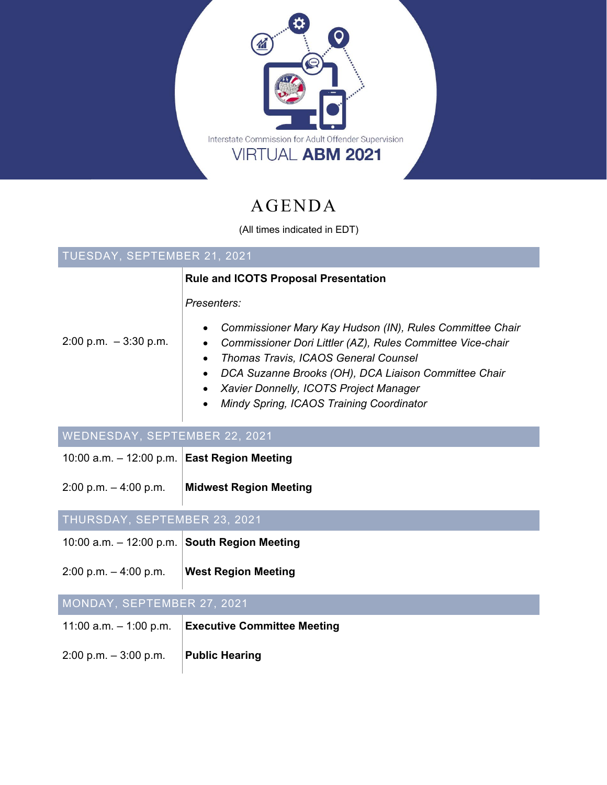

# AGENDA

(All times indicated in EDT)

| TUESDAY, SEPTEMBER 21, 2021                    |                                                                                                                                                                                                                                                                                                                           |
|------------------------------------------------|---------------------------------------------------------------------------------------------------------------------------------------------------------------------------------------------------------------------------------------------------------------------------------------------------------------------------|
|                                                | <b>Rule and ICOTS Proposal Presentation</b>                                                                                                                                                                                                                                                                               |
|                                                | Presenters:                                                                                                                                                                                                                                                                                                               |
| $2:00$ p.m. $-3:30$ p.m.                       | Commissioner Mary Kay Hudson (IN), Rules Committee Chair<br>Commissioner Dori Littler (AZ), Rules Committee Vice-chair<br>Thomas Travis, ICAOS General Counsel<br>DCA Suzanne Brooks (OH), DCA Liaison Committee Chair<br>Xavier Donnelly, ICOTS Project Manager<br>Mindy Spring, ICAOS Training Coordinator<br>$\bullet$ |
| WEDNESDAY, SEPTEMBER 22, 2021                  |                                                                                                                                                                                                                                                                                                                           |
| 10:00 a.m. $-$ 12:00 p.m. East Region Meeting  |                                                                                                                                                                                                                                                                                                                           |
| $2:00$ p.m. $-4:00$ p.m.                       | <b>Midwest Region Meeting</b>                                                                                                                                                                                                                                                                                             |
| THURSDAY, SEPTEMBER 23, 2021                   |                                                                                                                                                                                                                                                                                                                           |
| 10:00 a.m. $-$ 12:00 p.m. South Region Meeting |                                                                                                                                                                                                                                                                                                                           |
| $2:00$ p.m. $-4:00$ p.m.                       | <b>West Region Meeting</b>                                                                                                                                                                                                                                                                                                |
| MONDAY, SEPTEMBER 27, 2021                     |                                                                                                                                                                                                                                                                                                                           |
| 11:00 a.m. $-$ 1:00 p.m.                       | <b>Executive Committee Meeting</b>                                                                                                                                                                                                                                                                                        |
| $2:00$ p.m. $-3:00$ p.m.                       | <b>Public Hearing</b>                                                                                                                                                                                                                                                                                                     |